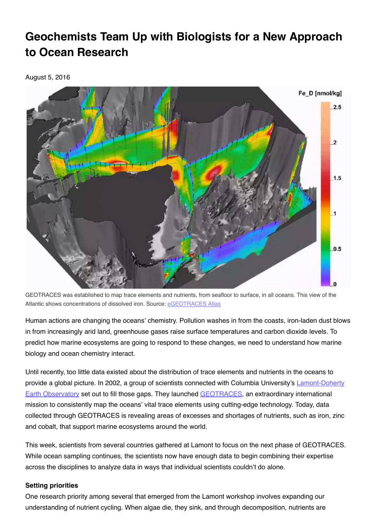## **Geochemists Team Up with Biologists for a New Approach to Ocean Research**

August 5, 2016



GEOTRACES was established to map trace elements and nutrients, from seafloor to surface, in all oceans. This view of the Atlantic shows concentrations of dissolved iron. Source: [eGEOTRACES](http://www.egeotraces.org/) Atlas

Human actions are changing the oceans' chemistry. Pollution washes in from the coasts, iron-laden dust blows in from increasingly arid land, greenhouse gases raise surface temperatures and carbon dioxide levels. To predict how marine ecosystems are going to respond to these changes, we need to understand how marine biology and ocean chemistry interact.

Until recently, too little data existed about the distribution of trace elements and nutrients in the oceans to provide a global picture. In 2002, a group of scientists connected with Columbia University's [Lamont-Doherty](http://ldeo.columbia.edu/) **Earth Observatory set out to fill those gaps. They launched [GEOTRACES](http://www.bodc.ac.uk/geotraces/)**, an extraordinary international mission to consistently map the oceans' vital trace elements using cutting-edge technology. Today, data collected through GEOTRACES is revealing areas of excesses and shortages of nutrients, such as iron, zinc and cobalt, that support marine ecosystems around the world.

This week, scientists from several countries gathered at Lamont to focus on the next phase of GEOTRACES. While ocean sampling continues, the scientists now have enough data to begin combining their expertise across the disciplines to analyze data in ways that individual scientists couldn't do alone.

## **Setting priorities**

One research priority among several that emerged from the Lamont workshop involves expanding our understanding of nutrient cycling. When algae die, they sink, and through decomposition, nutrients are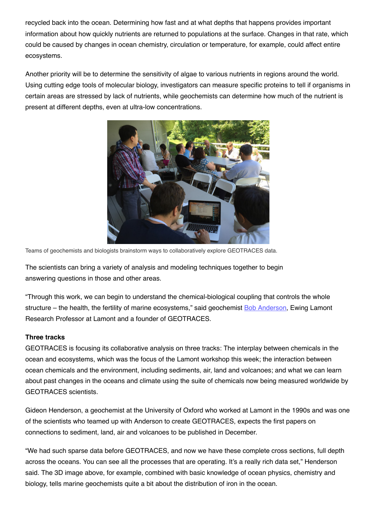recycled back into the ocean. Determining how fast and at what depths that happens provides important information about how quickly nutrients are returned to populations at the surface. Changes in that rate, which could be caused by changes in ocean chemistry, circulation or temperature, for example, could affect entire ecosystems.

Another priority will be to determine the sensitivity of algae to various nutrients in regions around the world. Using cutting edge tools of molecular biology, investigators can measure specific proteins to tell if organisms in certain areas are stressed by lack of nutrients, while geochemists can determine how much of the nutrient is present at different depths, even at ultra-low concentrations.



Teams of geochemists and biologists brainstorm ways to collaboratively explore GEOTRACES data.

The scientists can bring a variety of analysis and modeling techniques together to begin answering questions in those and other areas.

"Through this work, we can begin to understand the chemical-biological coupling that controls the whole structure – the health, the fertility of marine ecosystems," said geochemist Bob [Anderson](http://www.ldeo.columbia.edu/user/boba), Ewing Lamont Research Professor at Lamont and a founder of GEOTRACES.

## **Three tracks**

GEOTRACES is focusing its collaborative analysis on three tracks: The interplay between chemicals in the ocean and ecosystems, which was the focus of the Lamont workshop this week; the interaction between ocean chemicals and the environment, including sediments, air, land and volcanoes; and what we can learn about past changes in the oceans and climate using the suite of chemicals now being measured worldwide by GEOTRACES scientists.

Gideon Henderson, a geochemist at the University of Oxford who worked at Lamont in the 1990s and was one of the scientists who teamed up with Anderson to create GEOTRACES, expects the first papers on connections to sediment, land, air and volcanoes to be published in December.

"We had such sparse data before GEOTRACES, and now we have these complete cross sections, full depth across the oceans. You can see all the processes that are operating. It's a really rich data set," Henderson said. The 3D image above, for example, combined with basic knowledge of ocean physics, chemistry and biology, tells marine geochemists quite a bit about the distribution of iron in the ocean.